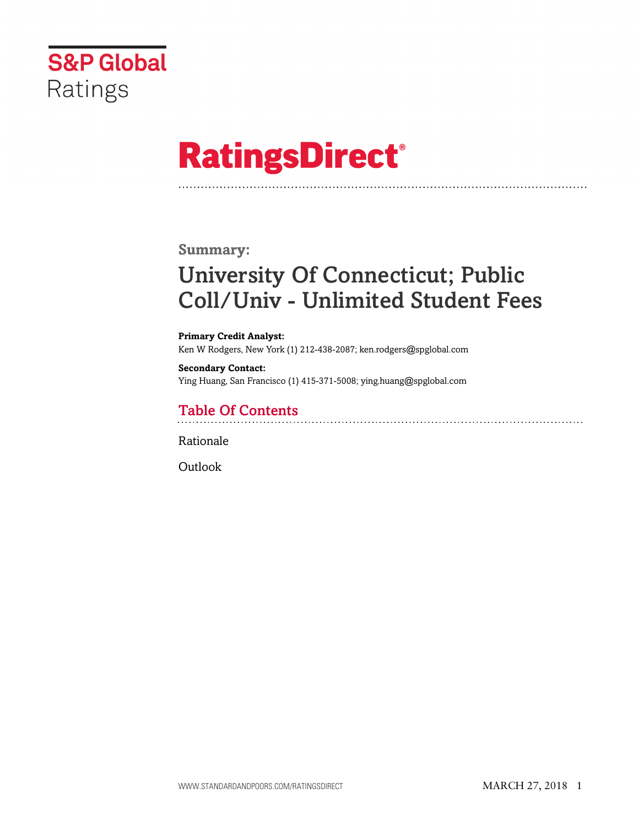

# **RatingsDirect®**

### **Summary:**

# University Of Connecticut; Public Coll/Univ - Unlimited Student Fees

#### **Primary Credit Analyst:** Ken W Rodgers, New York (1) 212-438-2087; ken.rodgers@spglobal.com

**Secondary Contact:** Ying Huang, San Francisco (1) 415-371-5008; ying.huang@spglobal.com

# Table Of Contents

[Rationale](#page-1-0)

[Outlook](#page-2-0)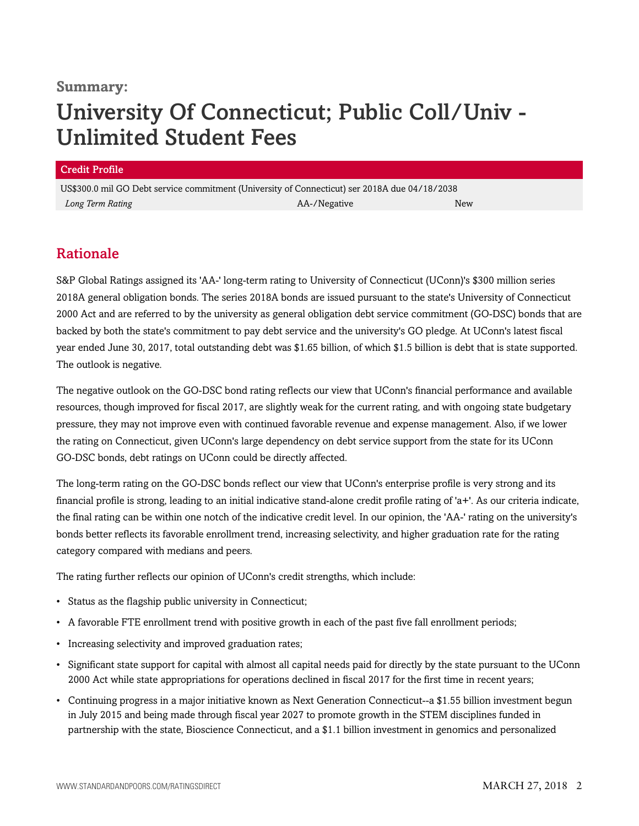### **Summary:**

# University Of Connecticut; Public Coll/Univ - Unlimited Student Fees

#### Credit Profile

US\$300.0 mil GO Debt service commitment (University of Connecticut) ser 2018A due 04/18/2038 *Long Term Rating* AA-/Negative New

## <span id="page-1-0"></span>Rationale

S&P Global Ratings assigned its 'AA-' long-term rating to University of Connecticut (UConn)'s \$300 million series 2018A general obligation bonds. The series 2018A bonds are issued pursuant to the state's University of Connecticut 2000 Act and are referred to by the university as general obligation debt service commitment (GO-DSC) bonds that are backed by both the state's commitment to pay debt service and the university's GO pledge. At UConn's latest fiscal year ended June 30, 2017, total outstanding debt was \$1.65 billion, of which \$1.5 billion is debt that is state supported. The outlook is negative.

The negative outlook on the GO-DSC bond rating reflects our view that UConn's financial performance and available resources, though improved for fiscal 2017, are slightly weak for the current rating, and with ongoing state budgetary pressure, they may not improve even with continued favorable revenue and expense management. Also, if we lower the rating on Connecticut, given UConn's large dependency on debt service support from the state for its UConn GO-DSC bonds, debt ratings on UConn could be directly affected.

The long-term rating on the GO-DSC bonds reflect our view that UConn's enterprise profile is very strong and its financial profile is strong, leading to an initial indicative stand-alone credit profile rating of 'a+'. As our criteria indicate, the final rating can be within one notch of the indicative credit level. In our opinion, the 'AA-' rating on the university's bonds better reflects its favorable enrollment trend, increasing selectivity, and higher graduation rate for the rating category compared with medians and peers.

The rating further reflects our opinion of UConn's credit strengths, which include:

- Status as the flagship public university in Connecticut;
- A favorable FTE enrollment trend with positive growth in each of the past five fall enrollment periods;
- Increasing selectivity and improved graduation rates;
- Significant state support for capital with almost all capital needs paid for directly by the state pursuant to the UConn 2000 Act while state appropriations for operations declined in fiscal 2017 for the first time in recent years;
- Continuing progress in a major initiative known as Next Generation Connecticut--a \$1.55 billion investment begun in July 2015 and being made through fiscal year 2027 to promote growth in the STEM disciplines funded in partnership with the state, Bioscience Connecticut, and a \$1.1 billion investment in genomics and personalized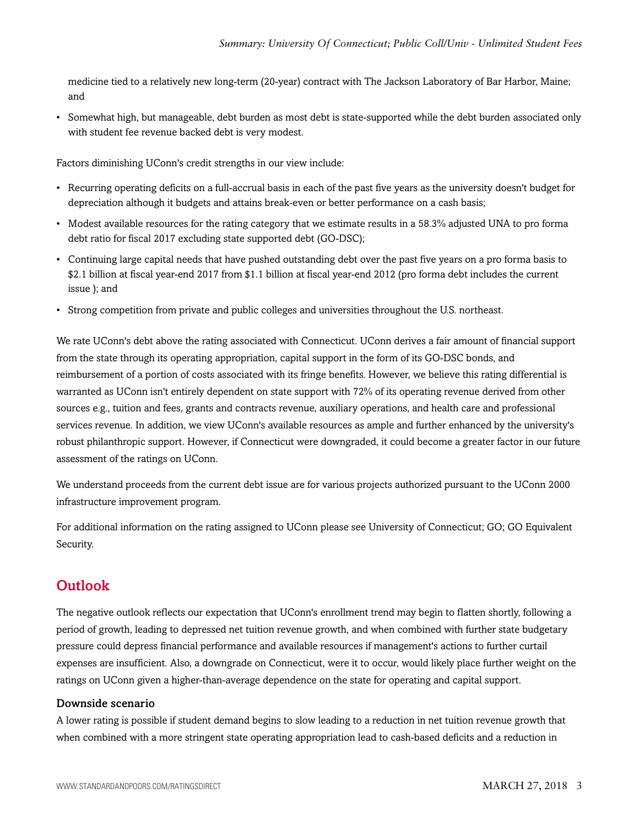medicine tied to a relatively new long-term (20-year) contract with The Jackson Laboratory of Bar Harbor, Maine; and

• Somewhat high, but manageable, debt burden as most debt is state-supported while the debt burden associated only with student fee revenue backed debt is very modest.

Factors diminishing UConn's credit strengths in our view include:

- Recurring operating deficits on a full-accrual basis in each of the past five years as the university doesn't budget for depreciation although it budgets and attains break-even or better performance on a cash basis;
- Modest available resources for the rating category that we estimate results in a 58.3% adjusted UNA to pro forma debt ratio for fiscal 2017 excluding state supported debt (GO-DSC);
- Continuing large capital needs that have pushed outstanding debt over the past five years on a pro forma basis to \$2.1 billion at fiscal year-end 2017 from \$1.1 billion at fiscal year-end 2012 (pro forma debt includes the current issue ); and
- Strong competition from private and public colleges and universities throughout the U.S. northeast.

We rate UConn's debt above the rating associated with Connecticut. UConn derives a fair amount of financial support from the state through its operating appropriation, capital support in the form of its GO-DSC bonds, and reimbursement of a portion of costs associated with its fringe benefits. However, we believe this rating differential is warranted as UConn isn't entirely dependent on state support with 72% of its operating revenue derived from other sources e.g., tuition and fees, grants and contracts revenue, auxiliary operations, and health care and professional services revenue. In addition, we view UConn's available resources as ample and further enhanced by the university's robust philanthropic support. However, if Connecticut were downgraded, it could become a greater factor in our future assessment of the ratings on UConn.

We understand proceeds from the current debt issue are for various projects authorized pursuant to the UConn 2000 infrastructure improvement program.

For additional information on the rating assigned to UConn please see University of Connecticut; GO; GO Equivalent Security.

# <span id="page-2-0"></span>**Outlook**

The negative outlook reflects our expectation that UConn's enrollment trend may begin to flatten shortly, following a period of growth, leading to depressed net tuition revenue growth, and when combined with further state budgetary pressure could depress financial performance and available resources if management's actions to further curtail expenses are insufficient. Also, a downgrade on Connecticut, were it to occur, would likely place further weight on the ratings on UConn given a higher-than-average dependence on the state for operating and capital support.

### Downside scenario

A lower rating is possible if student demand begins to slow leading to a reduction in net tuition revenue growth that when combined with a more stringent state operating appropriation lead to cash-based deficits and a reduction in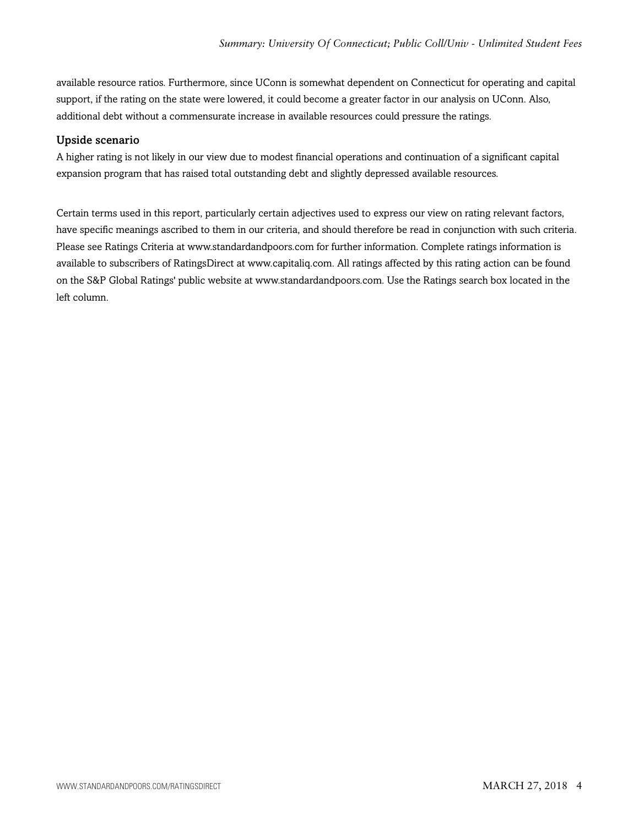available resource ratios. Furthermore, since UConn is somewhat dependent on Connecticut for operating and capital support, if the rating on the state were lowered, it could become a greater factor in our analysis on UConn. Also, additional debt without a commensurate increase in available resources could pressure the ratings.

### Upside scenario

A higher rating is not likely in our view due to modest financial operations and continuation of a significant capital expansion program that has raised total outstanding debt and slightly depressed available resources.

Certain terms used in this report, particularly certain adjectives used to express our view on rating relevant factors, have specific meanings ascribed to them in our criteria, and should therefore be read in conjunction with such criteria. Please see Ratings Criteria at www.standardandpoors.com for further information. Complete ratings information is available to subscribers of RatingsDirect at www.capitaliq.com. All ratings affected by this rating action can be found on the S&P Global Ratings' public website at www.standardandpoors.com. Use the Ratings search box located in the left column.